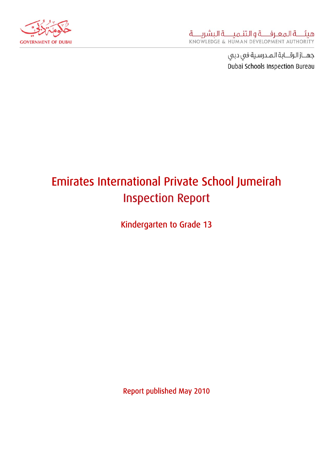

# Emirates International Private School Jumeirah Inspection Report

Kindergarten to Grade 13

Report published May 2010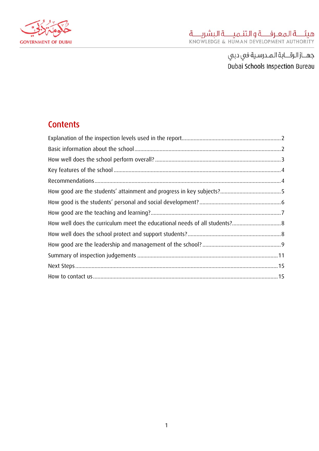

# **Contents**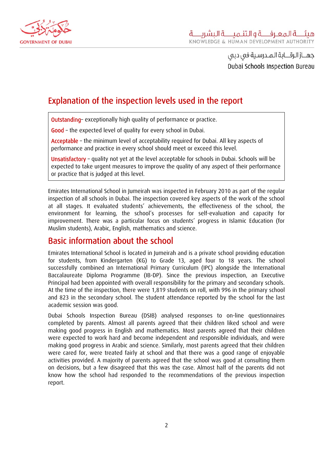<span id="page-2-0"></span>

# Explanation of the inspection levels used in the report

Outstanding– exceptionally high quality of performance or practice.

Good - the expected level of quality for every school in Dubai.

Acceptable – the minimum level of acceptability required for Dubai. All key aspects of performance and practice in every school should meet or exceed this level.

Unsatisfactory – quality not yet at the level acceptable for schools in Dubai. Schools will be expected to take urgent measures to improve the quality of any aspect of their performance or practice that is judged at this level.

Emirates International School in Jumeirah was inspected in February 2010 as part of the regular inspection of all schools in Dubai. The inspection covered key aspects of the work of the school at all stages. It evaluated students' achievements, the effectiveness of the school, the environment for learning, the school's processes for self-evaluation and capacity for improvement. There was a particular focus on students' progress in Islamic Education (for Muslim students), Arabic, English, mathematics and science.

### Basic information about the school

Emirates International School is located in Jumeirah and is a private school providing education for students, from Kindergarten (KG) to Grade 13, aged four to 18 years. The school successfully combined an International Primary Curriculum (IPC) alongside the International Baccalaureate Diploma Programme (IB-DP). Since the previous inspection, an Executive Principal had been appointed with overall responsibility for the primary and secondary schools. At the time of the inspection, there were 1,819 students on roll, with 996 in the primary school and 823 in the secondary school. The student attendance reported by the school for the last academic session was good.

Dubai Schools Inspection Bureau (DSIB) analysed responses to on-line questionnaires completed by parents. Almost all parents agreed that their children liked school and were making good progress in English and mathematics. Most parents agreed that their children were expected to work hard and become independent and responsible individuals, and were making good progress in Arabic and science. Similarly, most parents agreed that their children were cared for, were treated fairly at school and that there was a good range of enjoyable activities provided. A majority of parents agreed that the school was good at consulting them on decisions, but a few disagreed that this was the case. Almost half of the parents did not know how the school had responded to the recommendations of the previous inspection report.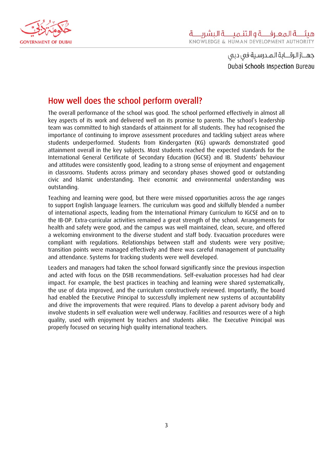<span id="page-3-0"></span>

# How well does the school perform overall?

The overall performance of the school was good. The school performed effectively in almost all key aspects of its work and delivered well on its promise to parents. The school's leadership team was committed to high standards of attainment for all students. They had recognised the importance of continuing to improve assessment procedures and tackling subject areas where students underperformed. Students from Kindergarten (KG) upwards demonstrated good attainment overall in the key subjects. Most students reached the expected standards for the International General Certificate of Secondary Education (IGCSE) and IB. Students' behaviour and attitudes were consistently good, leading to a strong sense of enjoyment and engagement in classrooms. Students across primary and secondary phases showed good or outstanding civic and Islamic understanding. Their economic and environmental understanding was outstanding.

Teaching and learning were good, but there were missed opportunities across the age ranges to support English language learners. The curriculum was good and skilfully blended a number of international aspects, leading from the International Primary Curriculum to IGCSE and on to the IB-DP. Extra-curricular activities remained a great strength of the school. Arrangements for health and safety were good, and the campus was well maintained, clean, secure, and offered a welcoming environment to the diverse student and staff body. Evacuation procedures were compliant with regulations. Relationships between staff and students were very positive; transition points were managed effectively and there was careful management of punctuality and attendance. Systems for tracking students were well developed.

Leaders and managers had taken the school forward significantly since the previous inspection and acted with focus on the DSIB recommendations. Self-evaluation processes had had clear impact. For example, the best practices in teaching and learning were shared systematically, the use of data improved, and the curriculum constructively reviewed. Importantly, the board had enabled the Executive Principal to successfully implement new systems of accountability and drive the improvements that were required. Plans to develop a parent advisory body and involve students in self evaluation were well underway. Facilities and resources were of a high quality, used with enjoyment by teachers and students alike. The Executive Principal was properly focused on securing high quality international teachers.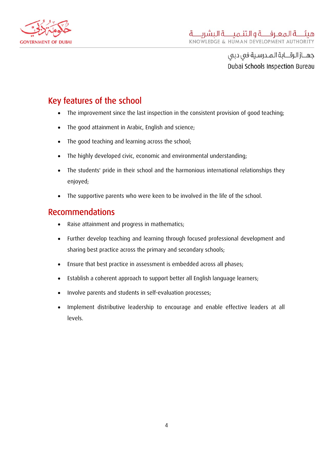<span id="page-4-0"></span>

# Key features of the school

- The improvement since the last inspection in the consistent provision of good teaching;
- The good attainment in Arabic, English and science;
- The good teaching and learning across the school;
- The highly developed civic, economic and environmental understanding;
- The students' pride in their school and the harmonious international relationships they enjoyed;
- The supportive parents who were keen to be involved in the life of the school.

#### Recommendations

- Raise attainment and progress in mathematics;
- Further develop teaching and learning through focused professional development and sharing best practice across the primary and secondary schools;
- Ensure that best practice in assessment is embedded across all phases;
- Establish a coherent approach to support better all English language learners;
- Involve parents and students in self-evaluation processes;
- Implement distributive leadership to encourage and enable effective leaders at all levels.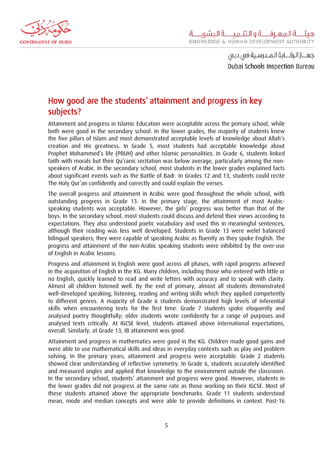<span id="page-5-0"></span>

# How good are the students' attainment and progress in key subjects?

Attainment and progress in Islamic Education were acceptable across the primary school, while both were good in the secondary school. In the lower grades, the majority of students knew the five pillars of Islam and most demonstrated acceptable levels of knowledge about Allah's creation and His greatness. In Grade 5, most students had acceptable knowledge about Prophet Mohammed's life (PBUH) and other Islamic personalities. In Grade 6, students linked faith with morals but their Qu'ranic recitation was below average, particularly among the nonspeakers of Arabic. In the secondary school, most students in the lower grades explained facts about significant events such as the Battle of Badr. In Grades 12 and 13, students could recite The Holy Qur'an confidently and correctly and could explain the verses.

The overall progress and attainment in Arabic were good throughout the whole school, with outstanding progress in Grade 13. In the primary stage, the attainment of most Arabicspeaking students was acceptable. However, the girls' progress was better than that of the boys. In the secondary school, most students could discuss and defend their views according to expectations. They also understood poetic vocabulary and used this in meaningful sentences, although their reading was less well developed. Students in Grade 13 were welel balanced bilingual speakers; they were capable of speaking Arabic as fluently as they spoke English. The progress and attainment of the non-Arabic speaking students were inhibited by the over-use of English in Arabic lessons.

Progress and attainment in English were good across all phases, with rapid progress achieved in the acquisition of English in the KG. Many children, including those who entered with little or no English, quickly learned to read and write letters with accuracy and to speak with clarity. Almost all children listened well. By the end of primary, almost all students demonstrated well-developed speaking, listening, reading and writing skills which they applied competently to different genres. A majority of Grade 6 students demonstrated high levels of inferential skills when encountering texts for the first time. Grade 7 students spoke eloquently and analysed poetry thoughtfully; older students wrote confidently for a range of purposes and analysed texts critically. At IGCSE level, students attained above international expectations, overall. Similarly, at Grade 13, IB attainment was good.

 Attainment and progress in mathematics were good in the KG. Children made good gains and were able to use mathematical skills and ideas in everyday contexts such as play and problem solving. In the primary years, attainment and progress were acceptable. Grade 2 students showed clear understanding of reflective symmetry. In Grade 6, students accurately identified and measured angles and applied that knowledge to the environment outside the classroom. In the secondary school, students' attainment and progress were good. However, students in the lower grades did not progress at the same rate as those working on their IGCSE. Most of these students attained above the appropriate benchmarks. Grade 11 students understood mean, mode and median concepts and were able to provide definitions in context. Post-16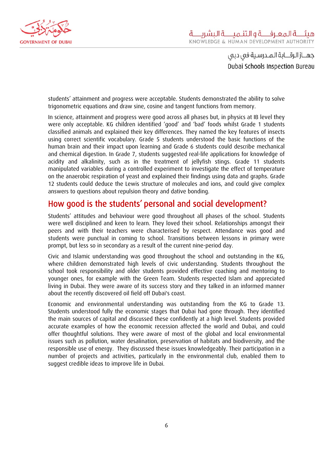<span id="page-6-0"></span>

students' attainment and progress were acceptable. Students demonstrated the ability to solve trigonometric equations and draw sine, cosine and tangent functions from memory.

In science, attainment and progress were good across all phases but, in physics at IB level they were only acceptable. KG children identified 'good' and 'bad' foods whilst Grade 1 students classified animals and explained their key differences. They named the key features of insects using correct scientific vocabulary. Grade 5 students understood the basic functions of the human brain and their impact upon learning and Grade 6 students could describe mechanical and chemical digestion. In Grade 7, students suggested real-life applications for knowledge of acidity and alkalinity, such as in the treatment of jellyfish stings. Grade 11 students manipulated variables during a controlled experiment to investigate the effect of temperature on the anaerobic respiration of yeast and explained their findings using data and graphs. Grade 12 students could deduce the Lewis structure of molecules and ions, and could give complex answers to questions about repulsion theory and dative bonding.

#### How good is the students' personal and social development?

Students' attitudes and behaviour were good throughout all phases of the school. Students were well disciplined and keen to learn. They loved their school. Relationships amongst their peers and with their teachers were characterised by respect. Attendance was good and students were punctual in coming to school. Transitions between lessons in primary were prompt, but less so in secondary as a result of the current nine-period day.

Civic and Islamic understanding was good throughout the school and outstanding in the KG, where children demonstrated high levels of civic understanding. Students throughout the school took responsibility and older students provided effective coaching and mentoring to younger ones, for example with the Green Team. Students respected Islam and appreciated living in Dubai. They were aware of its success story and they talked in an informed manner about the recently discovered oil field off Dubai's coast.

Economic and environmental understanding was outstanding from the KG to Grade 13. Students understood fully the economic stages that Dubai had gone through. They identified the main sources of capital and discussed these confidently at a high level. Students provided accurate examples of how the economic recession affected the world and Dubai, and could offer thoughtful solutions. They were aware of most of the global and local environmental issues such as pollution, water desalination, preservation of habitats and biodiversity, and the responsible use of energy. They discussed these issues knowledgeably. Their participation in a number of projects and activities, particularly in the environmental club, enabled them to suggest credible ideas to improve life in Dubai.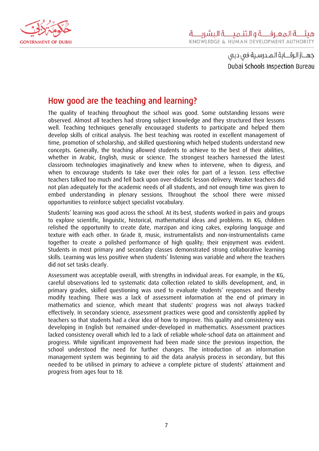<span id="page-7-0"></span>

# How good are the teaching and learning?

The quality of teaching throughout the school was good. Some outstanding lessons were observed. Almost all teachers had strong subject knowledge and they structured their lessons well. Teaching techniques generally encouraged students to participate and helped them develop skills of critical analysis. The best teaching was rooted in excellent management of time, promotion of scholarship, and skilled questioning which helped students understand new concepts. Generally, the teaching allowed students to achieve to the best of their abilities, whether in Arabic, English, music or science. The strongest teachers harnessed the latest classroom technologies imaginatively and knew when to intervene, when to digress, and when to encourage students to take over their roles for part of a lesson. Less effective teachers talked too much and fell back upon over-didactic lesson delivery. Weaker teachers did not plan adequately for the academic needs of all students, and not enough time was given to embed understanding in plenary sessions. Throughout the school there were missed opportunities to reinforce subject specialist vocabulary.

Students' learning was good across the school. At its best, students worked in pairs and groups to explore scientific, linguistic, historical, mathematical ideas and problems. In KG, children relished the opportunity to create date, marzipan and icing cakes, exploring language and texture with each other. In Grade 8, music, instrumentalists and non-instrumentalists came together to create a polished performance of high quality; their enjoyment was evident. Students in most primary and secondary classes demonstrated strong collaborative learning skills. Learning was less positive when students' listening was variable and where the teachers did not set tasks clearly.

Assessment was acceptable overall, with strengths in individual areas. For example, in the KG, careful observations led to systematic data collection related to skills development, and, in primary grades, skilled questioning was used to evaluate students' responses and thereby modify teaching. There was a lack of assessment information at the end of primary in mathematics and science, which meant that students' progress was not always tracked effectively. In secondary science, assessment practices were good and consistently applied by teachers so that students had a clear idea of how to improve. This quality and consistency was developing in English but remained under-developed in mathematics. Assessment practices lacked consistency overall which led to a lack of reliable whole-school data on attainment and progress. While significant improvement had been made since the previous inspection, the school understood the need for further changes. The introduction of an information management system was beginning to aid the data analysis process in secondary, but this needed to be utilised in primary to achieve a complete picture of students' attainment and progress from ages four to 18.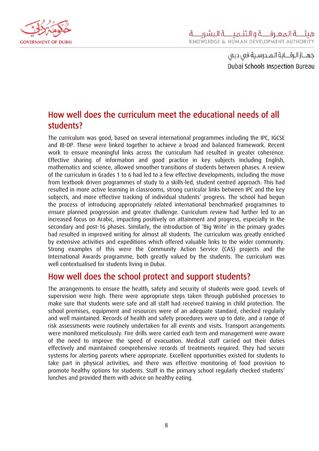<span id="page-8-0"></span>

## How well does the curriculum meet the educational needs of all students?

The curriculum was good, based on several international programmes including the IPC, IGCSE and IB-DP. These were linked together to achieve a broad and balanced framework. Recent work to ensure meaningful links across the curriculum had resulted in greater coherence. Effective sharing of information and good practice in key subjects including English, mathematics and science, allowed smoother transitions of students between phases. A review of the curriculum in Grades 1 to 6 had led to a few effective developments, including the move from textbook driven programmes of study to a skills-led, student centred approach. This had resulted in more active learning in classrooms, strong curricular links between IPC and the key subjects, and more effective tracking of individual students' progress. The school had begun the process of introducing appropriately related international benchmarked programmes to ensure planned progression and greater challenge. Curriculum review had further led to an increased focus on Arabic, impacting positively on attainment and progress, especially in the secondary and post-16 phases. Similarly, the introduction of 'Big Write' in the primary grades had resulted in improved writing for almost all students. The curriculum was greatly enriched by extensive activities and expeditions which offered valuable links to the wider community. Strong examples of this were the Community Action Service (CAS) projects and the International Awards programme, both greatly valued by the students. The curriculum was well contextualised for students living in Dubai.

#### How well does the school protect and support students?

The arrangements to ensure the health, safety and security of students were good. Levels of supervision were high. There were appropriate steps taken through published processes to make sure that students were safe and all staff had received training in child protection. The school premises, equipment and resources were of an adequate standard, checked regularly and well maintained. Records of health and safety procedures were up to date, and a range of risk assessments were routinely undertaken for all events and visits. Transport arrangements were monitored meticulously. Fire drills were carried each term and management were aware of the need to improve the speed of evacuation. Medical staff carried out their duties effectively and maintained comprehensive records of treatments required. They had secure systems for alerting parents where appropriate. Excellent opportunities existed for students to take part in physical activities, and there was effective monitoring of food provision to promote healthy options for students. Staff in the primary school regularly checked students' lunches and provided them with advice on healthy eating.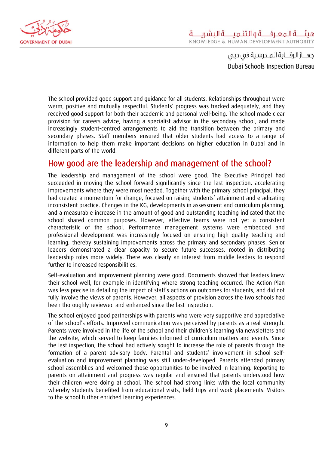<span id="page-9-0"></span>

The school provided good support and guidance for all students. Relationships throughout were warm, positive and mutually respectful. Students' progress was tracked adequately, and they received good support for both their academic and personal well-being. The school made clear provision for careers advice, having a specialist advisor in the secondary school, and made increasingly student-centred arrangements to aid the transition between the primary and secondary phases. Staff members ensured that older students had access to a range of information to help them make important decisions on higher education in Dubai and in different parts of the world.

#### How good are the leadership and management of the school?

The leadership and management of the school were good. The Executive Principal had succeeded in moving the school forward significantly since the last inspection, accelerating improvements where they were most needed. Together with the primary school principal, they had created a momentum for change, focused on raising students' attainment and eradicating inconsistent practice. Changes in the KG, developments in assessment and curriculum planning, and a measurable increase in the amount of good and outstanding teaching indicated that the school shared common purposes. However, effective teams were not yet a consistent characteristic of the school. Performance management systems were embedded and professional development was increasingly focused on ensuring high quality teaching and learning, thereby sustaining improvements across the primary and secondary phases. Senior leaders demonstrated a clear capacity to secure future successes, rooted in distributing leadership roles more widely. There was clearly an interest from middle leaders to respond further to increased responsibilities.

Self-evaluation and improvement planning were good. Documents showed that leaders knew their school well, for example in identifying where strong teaching occurred. The Action Plan was less precise in detailing the impact of staff's actions on outcomes for students, and did not fully involve the views of parents. However, all aspects of provision across the two schools had been thoroughly reviewed and enhanced since the last inspection.

The school enjoyed good partnerships with parents who were very supportive and appreciative of the school's efforts. Improved communication was perceived by parents as a real strength. Parents were involved in the life of the school and their children's learning via newsletters and the website, which served to keep families informed of curriculum matters and events. Since the last inspection, the school had actively sought to increase the role of parents through the formation of a parent advisory body. Parental and students' involvement in school selfevaluation and improvement planning was still under-developed. Parents attended primary school assemblies and welcomed those opportunities to be involved in learning. Reporting to parents on attainment and progress was regular and ensured that parents understood how their children were doing at school. The school had strong links with the local community whereby students benefited from educational visits, field trips and work placements. Visitors to the school further enriched learning experiences.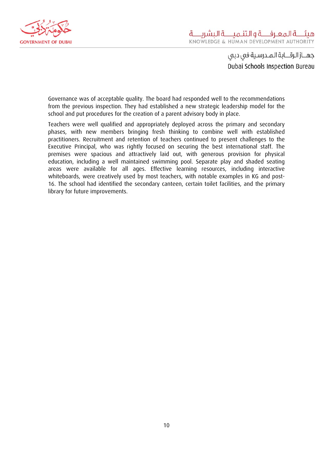

Governance was of acceptable quality. The board had responded well to the recommendations from the previous inspection. They had established a new strategic leadership model for the school and put procedures for the creation of a parent advisory body in place.

Teachers were well qualified and appropriately deployed across the primary and secondary phases, with new members bringing fresh thinking to combine well with established practitioners. Recruitment and retention of teachers continued to present challenges to the Executive Principal, who was rightly focused on securing the best international staff. The premises were spacious and attractively laid out, with generous provision for physical education, including a well maintained swimming pool. Separate play and shaded seating areas were available for all ages. Effective learning resources, including interactive whiteboards, were creatively used by most teachers, with notable examples in KG and post-16. The school had identified the secondary canteen, certain toilet facilities, and the primary library for future improvements.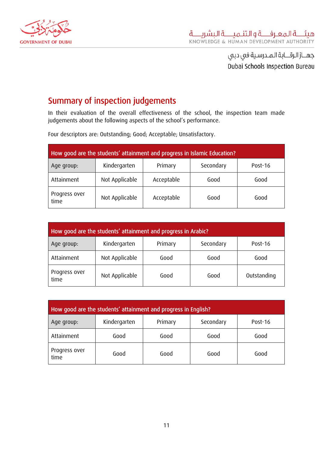<span id="page-11-0"></span>

# Summary of inspection judgements

In their evaluation of the overall effectiveness of the school, the inspection team made judgements about the following aspects of the school's performance.

Four descriptors are: Outstanding; Good; Acceptable; Unsatisfactory.

| How good are the students' attainment and progress in Islamic Education? |                |            |           |         |
|--------------------------------------------------------------------------|----------------|------------|-----------|---------|
| Age group:                                                               | Kindergarten   | Primary    | Secondary | Post-16 |
| Attainment                                                               | Not Applicable | Acceptable | Good      | Good    |
| Progress over<br>time                                                    | Not Applicable | Acceptable | Good      | Good    |

| How good are the students' attainment and progress in Arabic? |                |         |           |             |
|---------------------------------------------------------------|----------------|---------|-----------|-------------|
| Age group:                                                    | Kindergarten   | Primary | Secondary | Post-16     |
| Attainment                                                    | Not Applicable | Good    | Good      | Good        |
| Progress over<br>time                                         | Not Applicable | Good    | Good      | Outstanding |

| How good are the students' attainment and progress in English? |              |         |           |         |
|----------------------------------------------------------------|--------------|---------|-----------|---------|
| Age group:                                                     | Kindergarten | Primary | Secondary | Post-16 |
| Attainment                                                     | Good         | Good    | Good      | Good    |
| Progress over<br>time                                          | Good         | Good    | Good      | Good    |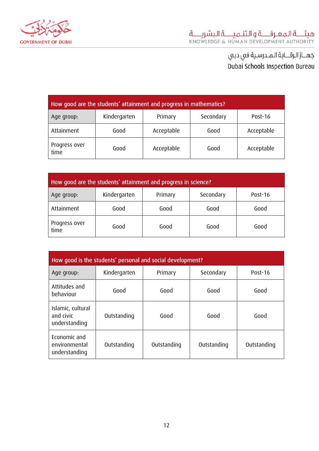

| How good are the students' attainment and progress in mathematics? |              |            |           |            |
|--------------------------------------------------------------------|--------------|------------|-----------|------------|
| Age group:                                                         | Kindergarten | Primary    | Secondary | Post-16    |
| Attainment                                                         | Good         | Acceptable | Good      | Acceptable |
| Progress over<br>time                                              | Good         | Acceptable | Good      | Acceptable |

| How good are the students' attainment and progress in science? |              |         |           |         |
|----------------------------------------------------------------|--------------|---------|-----------|---------|
| Age group:                                                     | Kindergarten | Primary | Secondary | Post-16 |
| Attainment                                                     | Good         | Good    | Good      | Good    |
| Progress over<br>time                                          | Good         | Good    | Good      | Good    |

| How good is the students' personal and social development? |              |             |             |             |
|------------------------------------------------------------|--------------|-------------|-------------|-------------|
| Age group:                                                 | Kindergarten | Primary     | Secondary   | Post-16     |
| Attitudes and<br>behaviour                                 | Good         | Good        | Good        | Good        |
| Islamic, cultural<br>and civic<br>understanding            | Outstanding  | Good        | Good        | Good        |
| Economic and<br>environmental<br>understanding             | Outstanding  | Outstanding | Outstanding | Outstanding |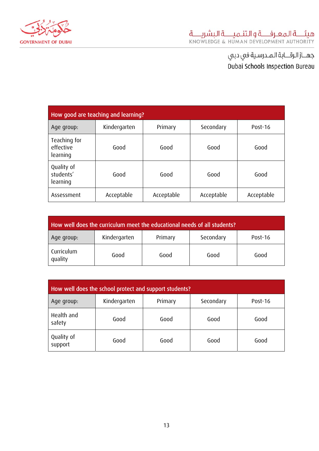

| How good are teaching and learning?   |              |            |            |            |
|---------------------------------------|--------------|------------|------------|------------|
| Age group:                            | Kindergarten | Primary    | Secondary  | Post-16    |
| Teaching for<br>effective<br>learning | Good         | Good       | Good       | Good       |
| Quality of<br>students'<br>learning   | Good         | Good       | Good       | Good       |
| Assessment                            | Acceptable   | Acceptable | Acceptable | Acceptable |

| How well does the curriculum meet the educational needs of all students? |              |         |           |         |
|--------------------------------------------------------------------------|--------------|---------|-----------|---------|
| Age group:                                                               | Kindergarten | Primary | Secondary | Post-16 |
| Curriculum<br>quality                                                    | Good         | Good    | Good      | Good    |

| How well does the school protect and support students? |              |         |           |         |
|--------------------------------------------------------|--------------|---------|-----------|---------|
| Age group:                                             | Kindergarten | Primary | Secondary | Post-16 |
| Health and<br>safety                                   | Good         | Good    | Good      | Good    |
| Quality of<br>support                                  | Good         | Good    | Good      | Good    |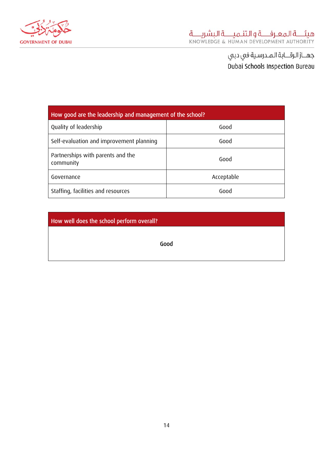

| How good are the leadership and management of the school? |            |  |  |
|-----------------------------------------------------------|------------|--|--|
| Quality of leadership                                     | Good       |  |  |
| Self-evaluation and improvement planning                  | Good       |  |  |
| Partnerships with parents and the<br>community            | Good       |  |  |
| Governance                                                | Acceptable |  |  |
| Staffing, facilities and resources                        | Good       |  |  |

How well does the school perform overall? Good